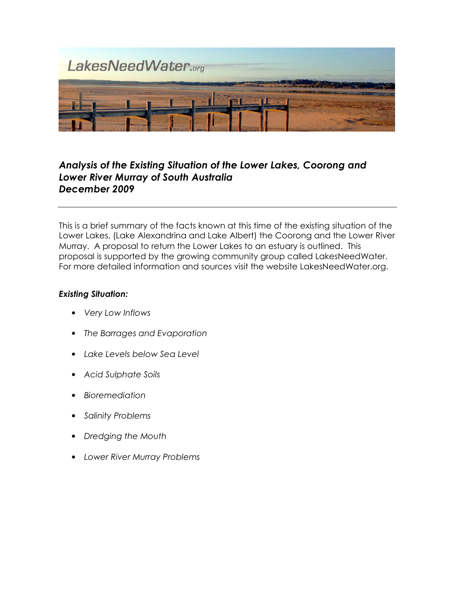

# Analysis of the Existing Situation of the Lower Lakes, Coorong and Lower River Murray of South Australia December 2009

This is a brief summary of the facts known at this time of the existing situation of the Lower Lakes, (Lake Alexandrina and Lake Albert) the Coorong and the Lower River Murray. A proposal to return the Lower Lakes to an estuary is outlined. This proposal is supported by the growing community group called LakesNeedWater. For more detailed information and sources visit the website LakesNeedWater.org.

# Existing Situation:

- Very Low Inflows
- The Barrages and Evaporation
- Lake Levels below Sea Level
- Acid Sulphate Soils
- Bioremediation
- Salinity Problems
- Dredging the Mouth
- Lower River Murray Problems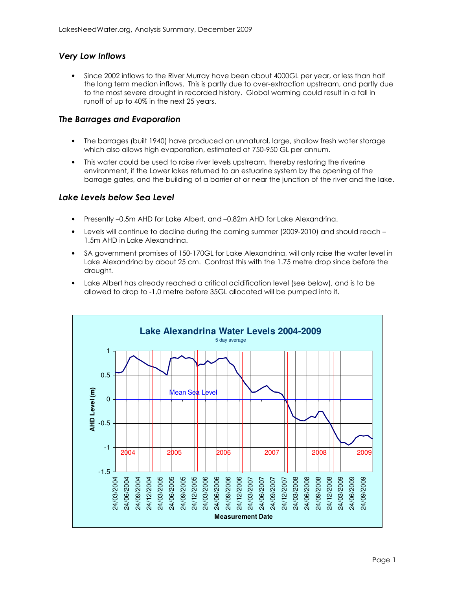## Very Low Inflows

• Since 2002 inflows to the River Murray have been about 4000GL per year, or less than half the long term median inflows. This is partly due to over-extraction upstream, and partly due to the most severe drought in recorded history. Global warming could result in a fall in runoff of up to 40% in the next 25 years.

### The Barrages and Evaporation

- The barrages (built 1940) have produced an unnatural, large, shallow fresh water storage which also allows high evaporation, estimated at 750-950 GL per annum.
- This water could be used to raise river levels upstream, thereby restoring the riverine environment, if the Lower lakes returned to an estuarine system by the opening of the barrage gates, and the building of a barrier at or near the junction of the river and the lake.

#### Lake Levels below Sea Level

- Presently –0.5m AHD for Lake Albert, and –0.82m AHD for Lake Alexandrina.
- Levels will continue to decline during the coming summer (2009-2010) and should reach 1.5m AHD in Lake Alexandrina.
- SA government promises of 150-170GL for Lake Alexandrina, will only raise the water level in Lake Alexandrina by about 25 cm. Contrast this with the 1.75 metre drop since before the drought.
- Lake Albert has already reached a critical acidification level (see below), and is to be allowed to drop to -1.0 metre before 35GL allocated will be pumped into it.

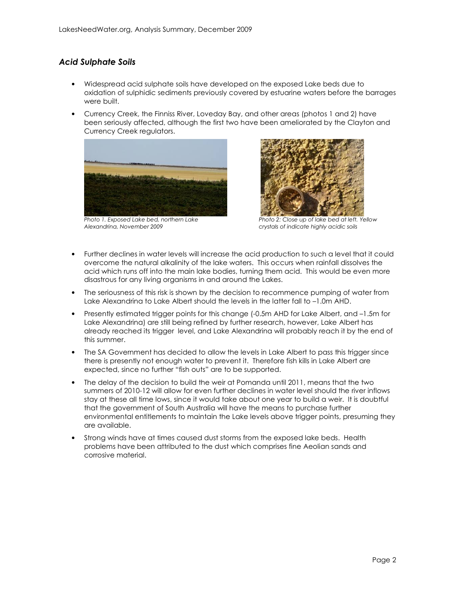# Acid Sulphate Soils

- Widespread acid sulphate soils have developed on the exposed Lake beds due to oxidation of sulphidic sediments previously covered by estuarine waters before the barrages were built.
- Currency Creek, the Finniss River, Loveday Bay, and other areas (photos 1 and 2) have been seriously affected, although the first two have been ameliorated by the Clayton and Currency Creek regulators.



Photo 1. Exposed Lake bed, northern Lake Alexandrina, November 2009



Photo 2: Close up of lake bed at left. Yellow crystals of indicate highly acidic soils

- Further declines in water levels will increase the acid production to such a level that it could overcome the natural alkalinity of the lake waters. This occurs when rainfall dissolves the acid which runs off into the main lake bodies, turning them acid. This would be even more disastrous for any living organisms in and around the Lakes.
- The seriousness of this risk is shown by the decision to recommence pumping of water from Lake Alexandrina to Lake Albert should the levels in the latter fall to –1.0m AHD.
- Presently estimated trigger points for this change (-0.5m AHD for Lake Albert, and –1.5m for Lake Alexandrina) are still being refined by further research, however, Lake Albert has already reached its trigger level, and Lake Alexandrina will probably reach it by the end of this summer.
- The SA Government has decided to allow the levels in Lake Albert to pass this trigger since there is presently not enough water to prevent it. Therefore fish kills in Lake Albert are expected, since no further "fish outs" are to be supported.
- The delay of the decision to build the weir at Pomanda until 2011, means that the two summers of 2010-12 will allow for even further declines in water level should the river inflows stay at these all time lows, since it would take about one year to build a weir. It is doubtful that the government of South Australia will have the means to purchase further environmental entitlements to maintain the Lake levels above trigger points, presuming they are available.
- Strong winds have at times caused dust storms from the exposed lake beds. Health problems have been attributed to the dust which comprises fine Aeolian sands and corrosive material.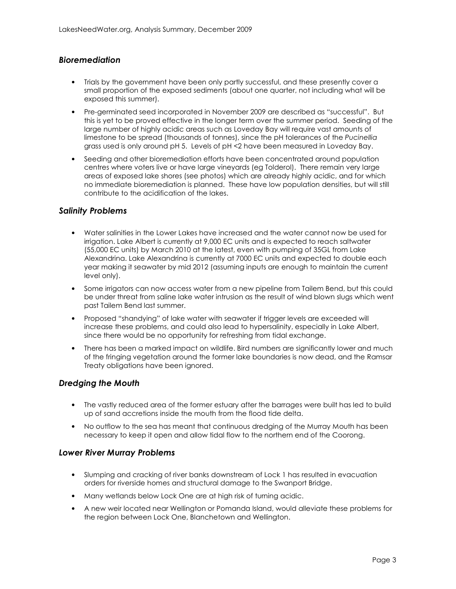# **Bioremediation**

- Trials by the government have been only partly successful, and these presently cover a small proportion of the exposed sediments (about one quarter, not including what will be exposed this summer).
- Pre-germinated seed incorporated in November 2009 are described as "successful". But this is yet to be proved effective in the longer term over the summer period. Seeding of the large number of highly acidic areas such as Loveday Bay will require vast amounts of limestone to be spread (thousands of tonnes), since the pH tolerances of the Pucinellia grass used is only around pH 5. Levels of pH <2 have been measured in Loveday Bay.
- Seeding and other bioremediation efforts have been concentrated around population centres where voters live or have large vineyards (eg Tolderol). There remain very large areas of exposed lake shores (see photos) which are already highly acidic, and for which no immediate bioremediation is planned. These have low population densities, but will still contribute to the acidification of the lakes.

### Salinity Problems

- Water salinities in the Lower Lakes have increased and the water cannot now be used for irrigation. Lake Albert is currently at 9,000 EC units and is expected to reach saltwater (55,000 EC units) by March 2010 at the latest, even with pumping of 35GL from Lake Alexandrina. Lake Alexandrina is currently at 7000 EC units and expected to double each year making it seawater by mid 2012 (assuming inputs are enough to maintain the current level only).
- Some irrigators can now access water from a new pipeline from Tailem Bend, but this could be under threat from saline lake water intrusion as the result of wind blown slugs which went past Tailem Bend last summer.
- Proposed "shandying" of lake water with seawater if trigger levels are exceeded will increase these problems, and could also lead to hypersalinity, especially in Lake Albert, since there would be no opportunity for refreshing from tidal exchange.
- There has been a marked impact on wildlife. Bird numbers are significantly lower and much of the fringing vegetation around the former lake boundaries is now dead, and the Ramsar Treaty obligations have been ignored.

# Dredging the Mouth

- The vastly reduced area of the former estuary after the barrages were built has led to build up of sand accretions inside the mouth from the flood tide delta.
- No outflow to the sea has meant that continuous dredging of the Murray Mouth has been necessary to keep it open and allow tidal flow to the northern end of the Coorong.

#### Lower River Murray Problems

- Slumping and cracking of river banks downstream of Lock 1 has resulted in evacuation orders for riverside homes and structural damage to the Swanport Bridge.
- Many wetlands below Lock One are at high risk of turning acidic.
- A new weir located near Wellington or Pomanda Island, would alleviate these problems for the region between Lock One, Blanchetown and Wellington.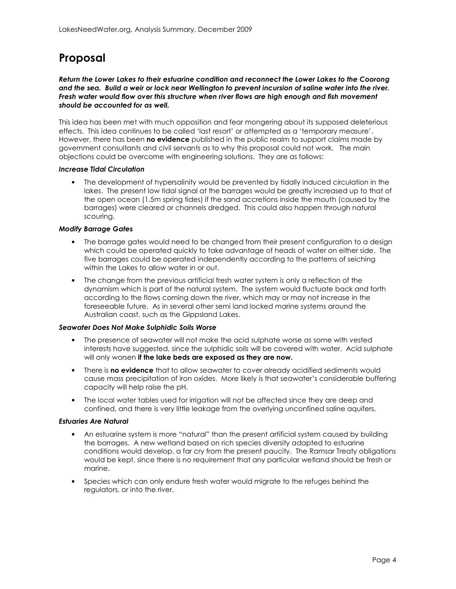# Proposal

Return the Lower Lakes to their estuarine condition and reconnect the Lower Lakes to the Coorong and the sea. Build a weir or lock near Wellington to prevent incursion of saline water into the river. Fresh water would flow over this structure when river flows are high enough and fish movement should be accounted for as well.

This idea has been met with much opposition and fear mongering about its supposed deleterious effects. This idea continues to be called 'last resort' or attempted as a 'temporary measure'. However, there has been no evidence published in the public realm to support claims made by government consultants and civil servants as to why this proposal could not work. The main objections could be overcome with engineering solutions. They are as follows:

#### Increase Tidal Circulation

• The development of hypersalinity would be prevented by tidally induced circulation in the lakes. The present low tidal signal at the barrages would be greatly increased up to that of the open ocean (1.5m spring tides) if the sand accretions inside the mouth (caused by the barrages) were cleared or channels dredged. This could also happen through natural scouring.

#### Modify Barrage Gates

- The barrage gates would need to be changed from their present configuration to a design which could be operated quickly to take advantage of heads of water on either side. The five barrages could be operated independently according to the patterns of seiching within the Lakes to allow water in or out.
- The change from the previous artificial fresh water system is only a reflection of the dynamism which is part of the natural system. The system would fluctuate back and forth according to the flows coming down the river, which may or may not increase in the foreseeable future. As in several other semi land locked marine systems around the Australian coast, such as the Gippsland Lakes.

#### Seawater Does Not Make Sulphidic Soils Worse

- The presence of seawater will not make the acid sulphate worse as some with vested interests have suggested, since the sulphidic soils will be covered with water. Acid sulphate will only worsen if the lake beds are exposed as they are now.
- There is no evidence that to allow seawater to cover already acidified sediments would cause mass precipitation of iron oxides. More likely is that seawater's considerable buffering capacity will help raise the pH.
- The local water tables used for irrigation will not be affected since they are deep and confined, and there is very little leakage from the overlying unconfined saline aquifers.

#### Estuaries Are Natural

- An estuarine system is more "natural" than the present artificial system caused by building the barrages. A new wetland based on rich species diversity adapted to estuarine conditions would develop, a far cry from the present paucity. The Ramsar Treaty obligations would be kept, since there is no requirement that any particular wetland should be fresh or marine.
- Species which can only endure fresh water would migrate to the refuges behind the regulators, or into the river.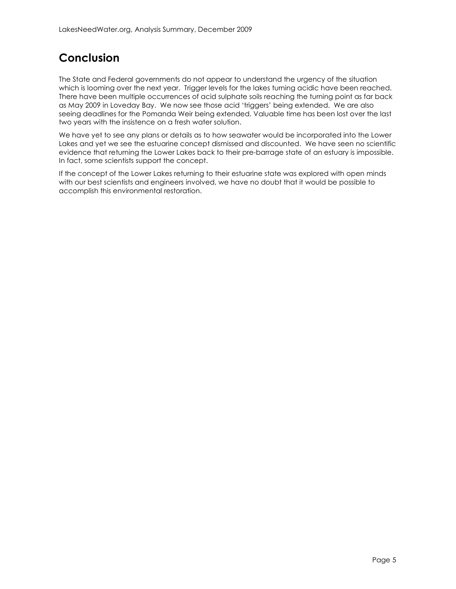# Conclusion

The State and Federal governments do not appear to understand the urgency of the situation which is looming over the next year. Trigger levels for the lakes turning acidic have been reached. There have been multiple occurrences of acid sulphate soils reaching the turning point as far back as May 2009 in Loveday Bay. We now see those acid 'triggers' being extended. We are also seeing deadlines for the Pomanda Weir being extended. Valuable time has been lost over the last two years with the insistence on a fresh water solution.

We have yet to see any plans or details as to how seawater would be incorporated into the Lower Lakes and yet we see the estuarine concept dismissed and discounted. We have seen no scientific evidence that returning the Lower Lakes back to their pre-barrage state of an estuary is impossible. In fact, some scientists support the concept.

If the concept of the Lower Lakes returning to their estuarine state was explored with open minds with our best scientists and engineers involved, we have no doubt that it would be possible to accomplish this environmental restoration.